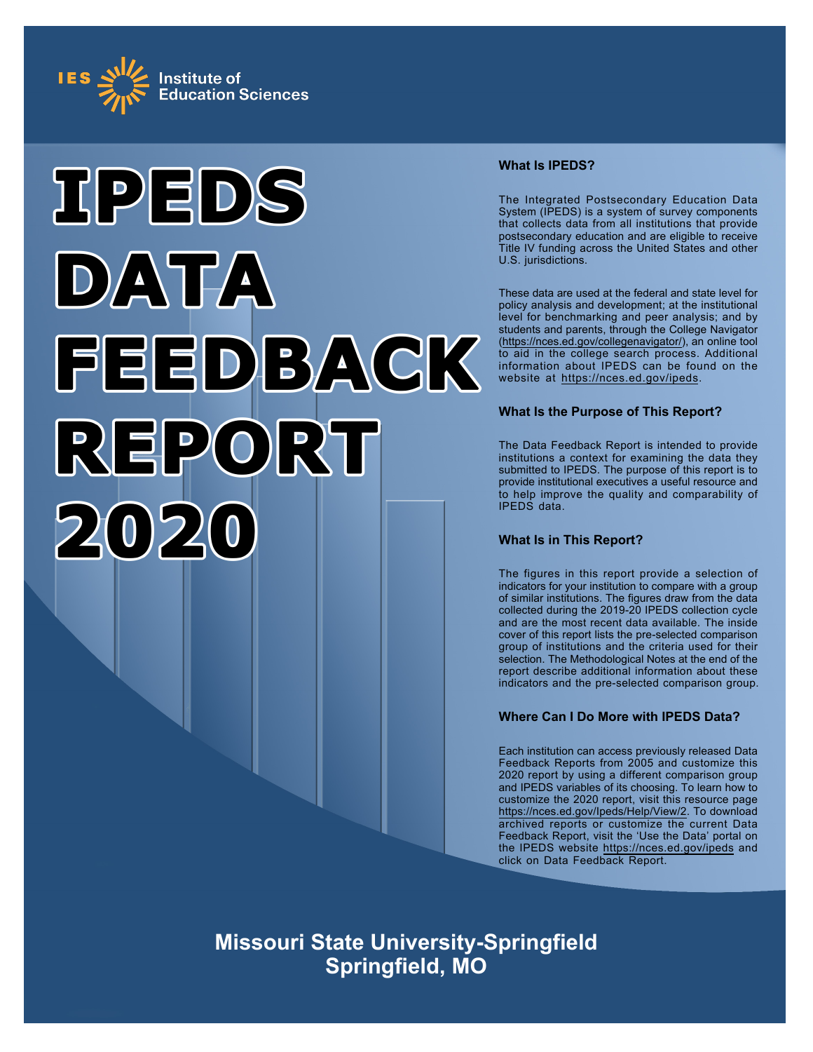



## **What Is IPEDS?**

The Integrated Postsecondary Education Data System (IPEDS) is a system of survey components that collects data from all institutions that provide postsecondary education and are eligible to receive Title IV funding across the United States and other U.S. jurisdictions.

These data are used at the federal and state level for policy analysis and development; at the institutional level for benchmarking and peer analysis; and by students and parents, through the College Navigator ([https://nces.ed.gov/collegenavigator/\)](https://nces.ed.gov/collegenavigator/), an online tool to aid in the college search process. Additional information about IPEDS can be found on the website at<https://nces.ed.gov/ipeds>.

## **What Is the Purpose of This Report?**

The Data Feedback Report is intended to provide institutions a context for examining the data they submitted to IPEDS. The purpose of this report is to provide institutional executives a useful resource and to help improve the quality and comparability of IPEDS data.

## **What Is in This Report?**

The figures in this report provide a selection of indicators for your institution to compare with a group of similar institutions. The figures draw from the data collected during the 2019-20 IPEDS collection cycle and are the most recent data available. The inside cover of this report lists the pre-selected comparison group of institutions and the criteria used for their selection. The Methodological Notes at the end of the report describe additional information about these indicators and the pre-selected comparison group.

## **Where Can I Do More with IPEDS Data?**

Each institution can access previously released Data Feedback Reports from 2005 and customize this 2020 report by using a different comparison group and IPEDS variables of its choosing. To learn how to customize the 2020 report, visit this resource page <https://nces.ed.gov/Ipeds/Help/View/2>. To download archived reports or customize the current Data Feedback Report, visit the 'Use the Data' portal on the IPEDS website<https://nces.ed.gov/ipeds> and click on Data Feedback Report.

**Missouri State University-Springfield Springfield, MO**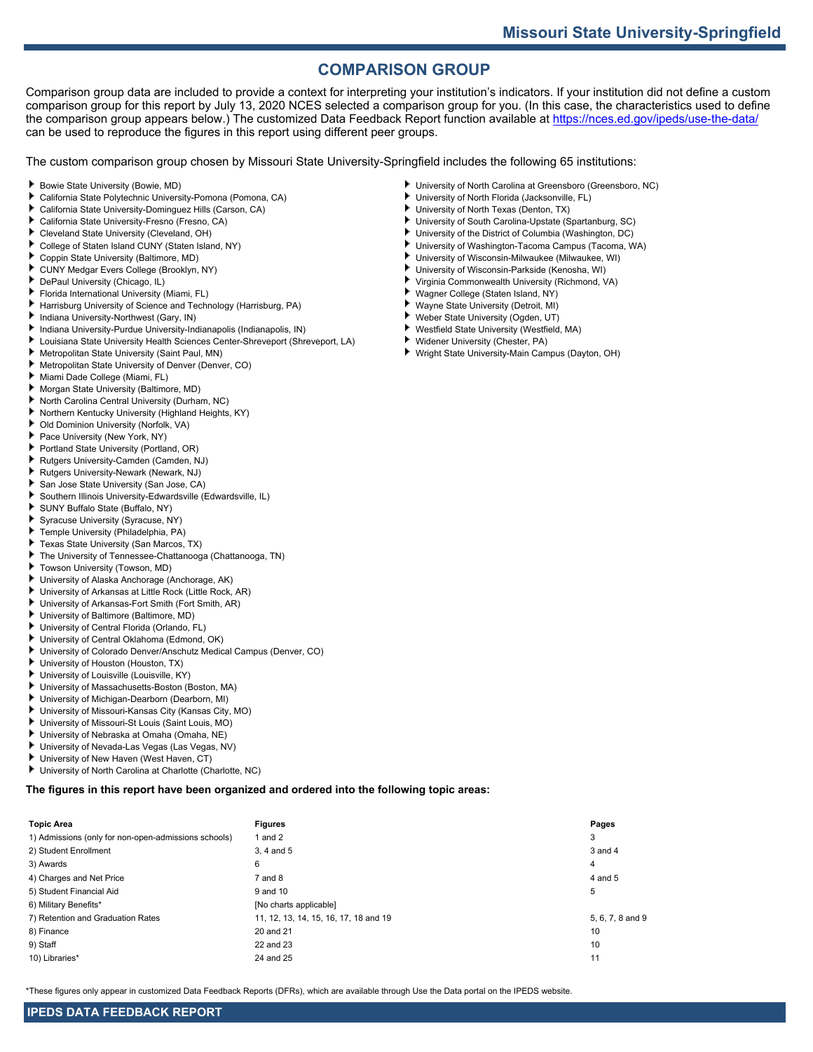## **COMPARISON GROUP**

Comparison group data are included to provide a context for interpreting your institution's indicators. If your institution did not define a custom comparison group for this report by July 13, 2020 NCES selected a comparison group for you. (In this case, the characteristics used to define the comparison group appears below.) The customized Data Feedback Report function available at<https://nces.ed.gov/ipeds/use-the-data/> can be used to reproduce the figures in this report using different peer groups.

The custom comparison group chosen by Missouri State University-Springfield includes the following 65 institutions:

- ٠ Bowie State University (Bowie, MD)
- California State Polytechnic University-Pomona (Pomona, CA)
- California State University-Dominguez Hills (Carson, CA)
- California State University-Fresno (Fresno, CA)
- ٠ Cleveland State University (Cleveland, OH)
- College of Staten Island CUNY (Staten Island, NY)
- Coppin State University (Baltimore, MD)
- CUNY Medgar Evers College (Brooklyn, NY) ۰.
- DePaul University (Chicago, IL)
- Florida International University (Miami, FL)
- Harrisburg University of Science and Technology (Harrisburg, PA)
- Indiana University-Northwest (Gary, IN) r
- Indiana University-Purdue University-Indianapolis (Indianapolis, IN)
- Louisiana State University Health Sciences Center-Shreveport (Shreveport, LA)
- ٠ Metropolitan State University (Saint Paul, MN)
- Metropolitan State University of Denver (Denver, CO)
- Miami Dade College (Miami, FL)
- ۰. Morgan State University (Baltimore, MD)
- North Carolina Central University (Durham, NC)
- Northern Kentucky University (Highland Heights, KY)
- Old Dominion University (Norfolk, VA)
- Pace University (New York, NY)
- Portland State University (Portland, OR)
- Rutgers University-Camden (Camden, NJ)
- Rutgers University-Newark (Newark, NJ)
- San Jose State University (San Jose, CA)
- Southern Illinois University-Edwardsville (Edwardsville, IL)
- SUNY Buffalo State (Buffalo, NY)
- Syracuse University (Syracuse, NY)
- Temple University (Philadelphia, PA) ۰.
- Texas State University (San Marcos, TX)
- The University of Tennessee-Chattanooga (Chattanooga, TN)
- Towson University (Towson, MD)
- University of Alaska Anchorage (Anchorage, AK)
- University of Arkansas at Little Rock (Little Rock, AR)
- University of Arkansas-Fort Smith (Fort Smith, AR)
- University of Baltimore (Baltimore, MD)
- University of Central Florida (Orlando, FL)
- University of Central Oklahoma (Edmond, OK)
- University of Colorado Denver/Anschutz Medical Campus (Denver, CO)
- University of Houston (Houston, TX)
- University of Louisville (Louisville, KY)
- University of Massachusetts-Boston (Boston, MA)
- University of Michigan-Dearborn (Dearborn, MI) ь
- University of Missouri-Kansas City (Kansas City, MO)
- University of Missouri-St Louis (Saint Louis, MO)
- University of Nebraska at Omaha (Omaha, NE)
- University of Nevada-Las Vegas (Las Vegas, NV)
- University of New Haven (West Haven, CT)
- University of North Carolina at Charlotte (Charlotte, NC)

**The figures in this report have been organized and ordered into the following topic areas:**

| <b>Topic Area</b>                                    | <b>Figures</b>                        | Pages            |
|------------------------------------------------------|---------------------------------------|------------------|
| 1) Admissions (only for non-open-admissions schools) | 1 and $2$                             | 3                |
| 2) Student Enrollment                                | 3.4 and 5                             | 3 and 4          |
| 3) Awards                                            | 6                                     | $\overline{4}$   |
| 4) Charges and Net Price                             | $7$ and $8$                           | 4 and 5          |
| 5) Student Financial Aid                             | 9 and 10                              | 5                |
| 6) Military Benefits*                                | [No charts applicable]                |                  |
| 7) Retention and Graduation Rates                    | 11, 12, 13, 14, 15, 16, 17, 18 and 19 | 5, 6, 7, 8 and 9 |
| 8) Finance                                           | 20 and 21                             | 10               |
| 9) Staff                                             | 22 and 23                             | 10               |
| 10) Libraries*                                       | 24 and 25                             | 11               |

\*These figures only appear in customized Data Feedback Reports (DFRs), which are available through Use the Data portal on the IPEDS website.

- University of North Carolina at Greensboro (Greensboro, NC)
- University of North Florida (Jacksonville, FL)
- University of North Texas (Denton, TX)
- University of South Carolina-Upstate (Spartanburg, SC)
- University of the District of Columbia (Washington, DC)
- University of Washington-Tacoma Campus (Tacoma, WA) University of Wisconsin-Milwaukee (Milwaukee, WI)
- University of Wisconsin-Parkside (Kenosha, WI)
- Virginia Commonwealth University (Richmond, VA)
- Wagner College (Staten Island, NY)
- Wayne State University (Detroit, MI)
- ×. Weber State University (Ogden, UT)
- ٠ Westfield State University (Westfield, MA)
- Widener University (Chester, PA)
- Wright State University-Main Campus (Dayton, OH)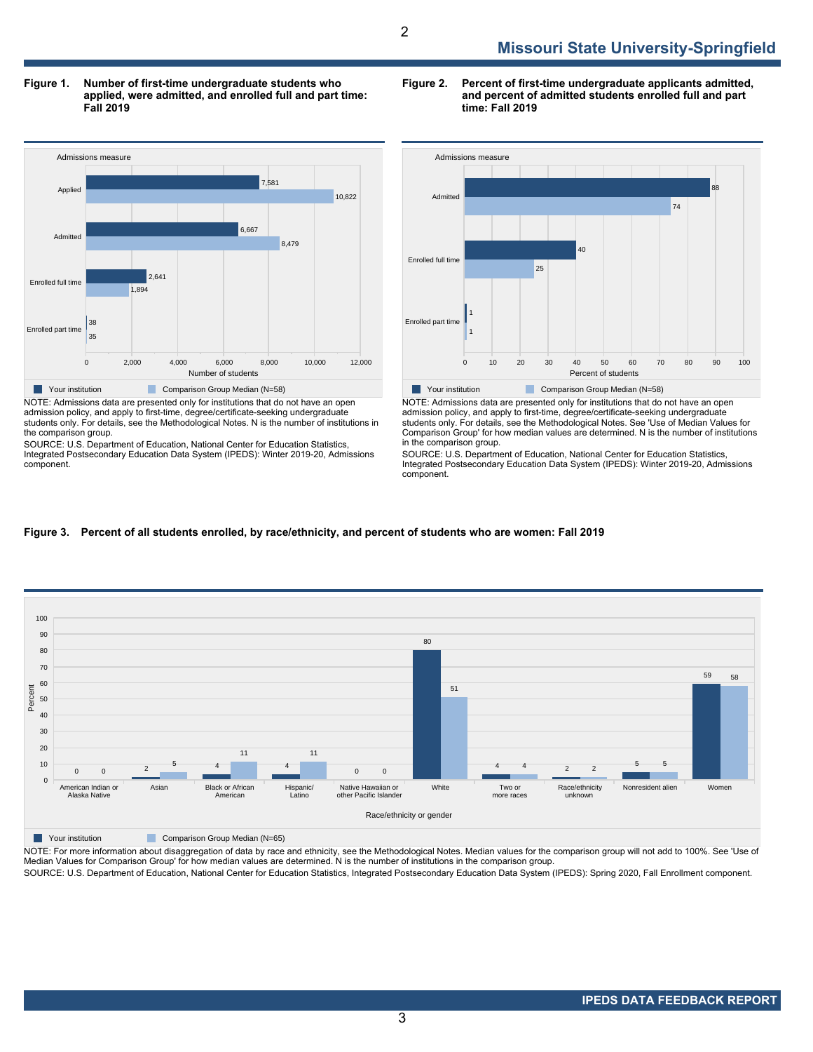**Figure 1. Number of first-time undergraduate students who applied, were admitted, and enrolled full and part time: Fall 2019**



NOTE: Admissions data are presented only for institutions that do not have an open admission policy, and apply to first-time, degree/certificate-seeking undergraduate students only. For details, see the Methodological Notes. N is the number of institutions in the comparison group.

SOURCE: U.S. Department of Education, National Center for Education Statistics, Integrated Postsecondary Education Data System (IPEDS): Winter 2019-20, Admissions component.

**Figure 2. Percent of first-time undergraduate applicants admitted, and percent of admitted students enrolled full and part time: Fall 2019**



NOTE: Admissions data are presented only for institutions that do not have an open admission policy, and apply to first-time, degree/certificate-seeking undergraduate students only. For details, see the Methodological Notes. See 'Use of Median Values for Comparison Group' for how median values are determined. N is the number of institutions in the comparison group.

SOURCE: U.S. Department of Education, National Center for Education Statistics, Integrated Postsecondary Education Data System (IPEDS): Winter 2019-20, Admissions component.





NOTE: For more information about disaggregation of data by race and ethnicity, see the Methodological Notes. Median values for the comparison group will not add to 100%. See 'Use of Median Values for Comparison Group' for how median values are determined. N is the number of institutions in the comparison group.

SOURCE: U.S. Department of Education, National Center for Education Statistics, Integrated Postsecondary Education Data System (IPEDS): Spring 2020, Fall Enrollment component.

3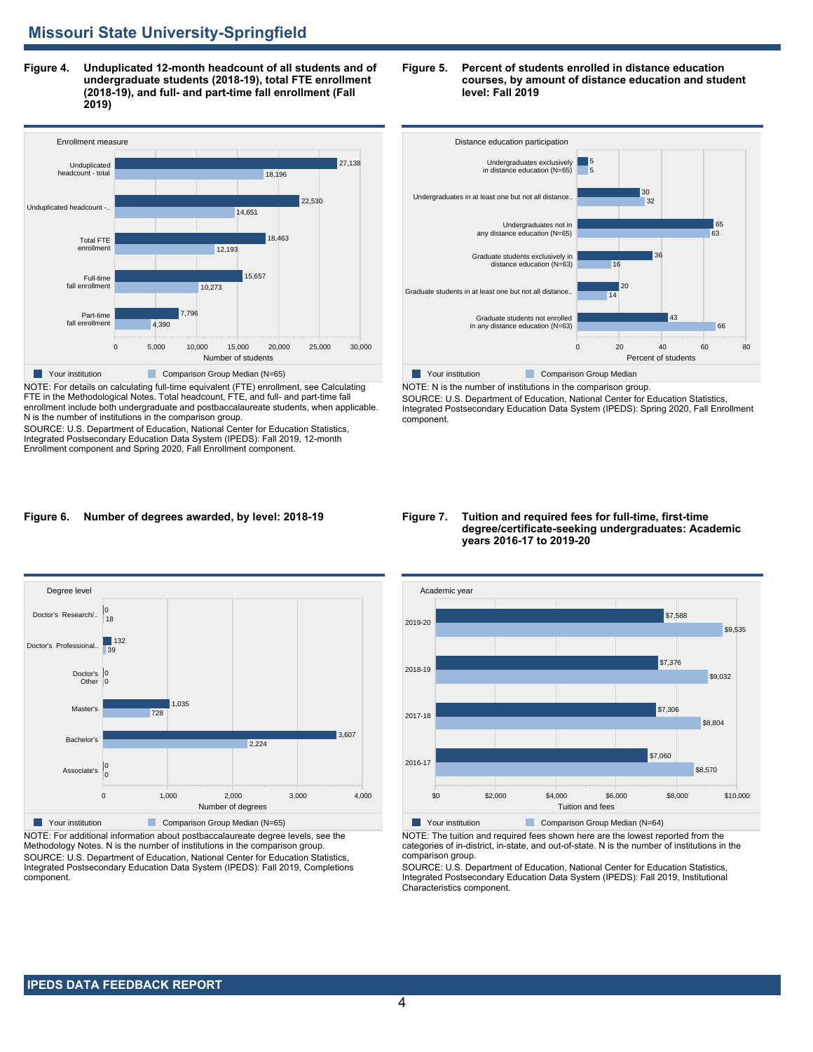**Figure 4. Unduplicated 12-month headcount of all students and of undergraduate students (2018-19), total FTE enrollment (2018-19), and full- and part-time fall enrollment (Fall 2019)**



NOTE: For details on calculating full-time equivalent (FTE) enrollment, see Calculating FTE in the Methodological Notes. Total headcount, FTE, and full- and part-time fall enrollment include both undergraduate and postbaccalaureate students, when applicable. N is the number of institutions in the comparison group.

SOURCE: U.S. Department of Education, National Center for Education Statistics, Integrated Postsecondary Education Data System (IPEDS): Fall 2019, 12-month Enrollment component and Spring 2020, Fall Enrollment component.

#### **Figure 5. Percent of students enrolled in distance education courses, by amount of distance education and student level: Fall 2019**



SOURCE: U.S. Department of Education, National Center for Education Statistics, Integrated Postsecondary Education Data System (IPEDS): Spring 2020, Fall Enrollment component.

#### **Figure 6. Number of degrees awarded, by level: 2018-19**



NOTE: For additional information about postbaccalaureate degree levels, see the Methodology Notes. N is the number of institutions in the comparison group. SOURCE: U.S. Department of Education, National Center for Education Statistics, Integrated Postsecondary Education Data System (IPEDS): Fall 2019, Completions component.

#### **Figure 7. Tuition and required fees for full-time, first-time degree/certificate-seeking undergraduates: Academic years 2016-17 to 2019-20**



NOTE: The tuition and required fees shown here are the lowest reported from the categories of in-district, in-state, and out-of-state. N is the number of institutions in the comparison group.

SOURCE: U.S. Department of Education, National Center for Education Statistics, Integrated Postsecondary Education Data System (IPEDS): Fall 2019, Institutional Characteristics component.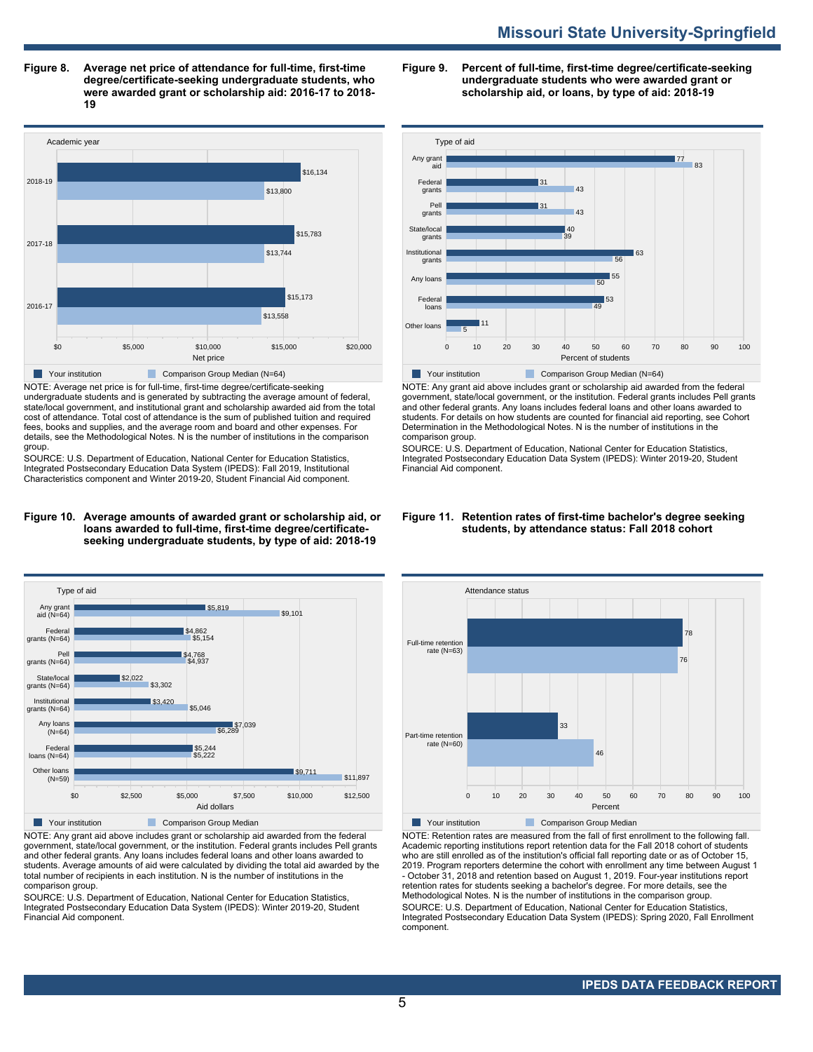# **Missouri State University-Springfield**

**Figure 8. Average net price of attendance for full-time, first-time degree/certificate-seeking undergraduate students, who were awarded grant or scholarship aid: 2016-17 to 2018- 19**



NOTE: Average net price is for full-time, first-time degree/certificate-seeking undergraduate students and is generated by subtracting the average amount of federal, state/local government, and institutional grant and scholarship awarded aid from the total cost of attendance. Total cost of attendance is the sum of published tuition and required fees, books and supplies, and the average room and board and other expenses. For details, see the Methodological Notes. N is the number of institutions in the comparison group.

SOURCE: U.S. Department of Education, National Center for Education Statistics, Integrated Postsecondary Education Data System (IPEDS): Fall 2019, Institutional Characteristics component and Winter 2019-20, Student Financial Aid component.

#### **Figure 10. Average amounts of awarded grant or scholarship aid, or loans awarded to full-time, first-time degree/certificateseeking undergraduate students, by type of aid: 2018-19**



NOTE: Any grant aid above includes grant or scholarship aid awarded from the federal government, state/local government, or the institution. Federal grants includes Pell grants and other federal grants. Any loans includes federal loans and other loans awarded to students. Average amounts of aid were calculated by dividing the total aid awarded by the total number of recipients in each institution. N is the number of institutions in the comparison group.

SOURCE: U.S. Department of Education, National Center for Education Statistics, Integrated Postsecondary Education Data System (IPEDS): Winter 2019-20, Student Financial Aid component.

**Figure 9. Percent of full-time, first-time degree/certificate-seeking undergraduate students who were awarded grant or scholarship aid, or loans, by type of aid: 2018-19**



NOTE: Any grant aid above includes grant or scholarship aid awarded from the federal government, state/local government, or the institution. Federal grants includes Pell grants and other federal grants. Any loans includes federal loans and other loans awarded to students. For details on how students are counted for financial aid reporting, see Cohort Determination in the Methodological Notes. N is the number of institutions in the comparison group.

SOURCE: U.S. Department of Education, National Center for Education Statistics, Integrated Postsecondary Education Data System (IPEDS): Winter 2019-20, Student Financial Aid component.

#### **Figure 11. Retention rates of first-time bachelor's degree seeking students, by attendance status: Fall 2018 cohort**



NOTE: Retention rates are measured from the fall of first enrollment to the following fall. Academic reporting institutions report retention data for the Fall 2018 cohort of students who are still enrolled as of the institution's official fall reporting date or as of October 15, 2019. Program reporters determine the cohort with enrollment any time between August 1 - October 31, 2018 and retention based on August 1, 2019. Four-year institutions report retention rates for students seeking a bachelor's degree. For more details, see the Methodological Notes. N is the number of institutions in the comparison group. SOURCE: U.S. Department of Education, National Center for Education Statistics, Integrated Postsecondary Education Data System (IPEDS): Spring 2020, Fall Enrollment component.

## **IPEDS DATA FEEDBACK REPORT**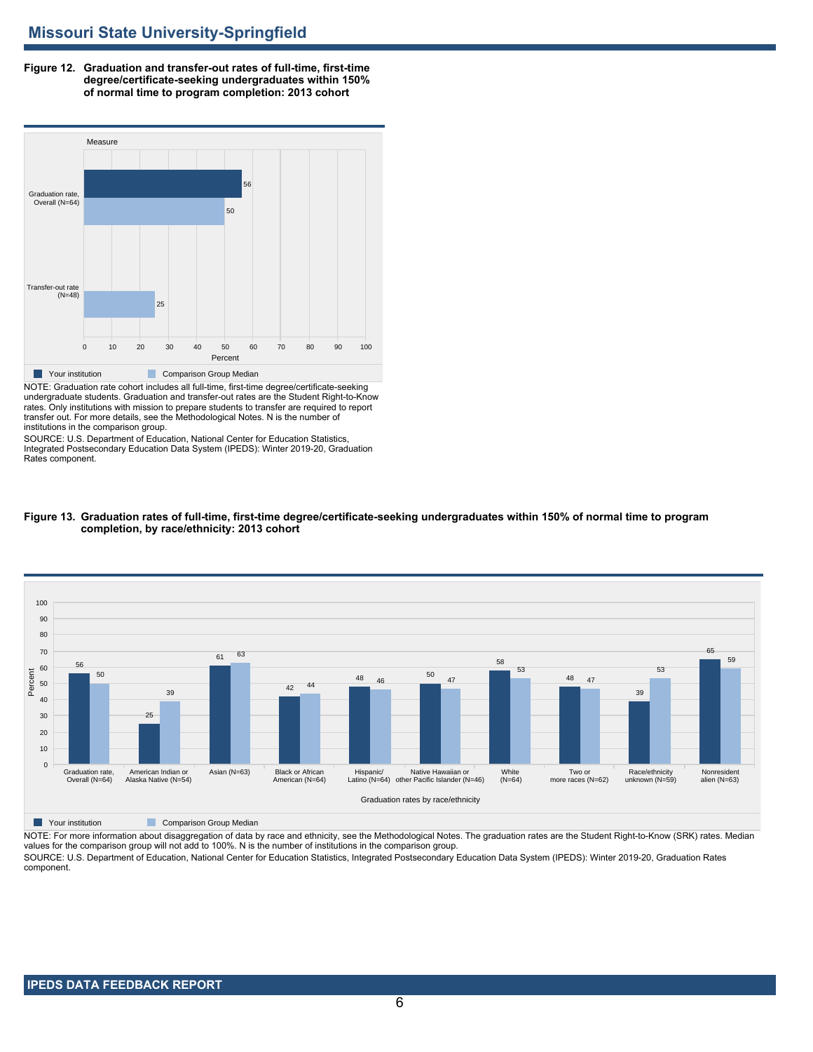**Figure 12. Graduation and transfer-out rates of full-time, first-time degree/certificate-seeking undergraduates within 150% of normal time to program completion: 2013 cohort**



NOTE: Graduation rate cohort includes all full-time, first-time degree/certificate-seeking undergraduate students. Graduation and transfer-out rates are the Student Right-to-Know rates. Only institutions with mission to prepare students to transfer are required to report transfer out. For more details, see the Methodological Notes. N is the number of institutions in the comparison group.

SOURCE: U.S. Department of Education, National Center for Education Statistics, Integrated Postsecondary Education Data System (IPEDS): Winter 2019-20, Graduation Rates component.



**Figure 13. Graduation rates of full-time, first-time degree/certificate-seeking undergraduates within 150% of normal time to program completion, by race/ethnicity: 2013 cohort**

**Nour institution Comparison Group Median** 

NOTE: For more information about disaggregation of data by race and ethnicity, see the Methodological Notes. The graduation rates are the Student Right-to-Know (SRK) rates. Median values for the comparison group will not add to 100%. N is the number of institutions in the comparison group.

SOURCE: U.S. Department of Education, National Center for Education Statistics, Integrated Postsecondary Education Data System (IPEDS): Winter 2019-20, Graduation Rates component.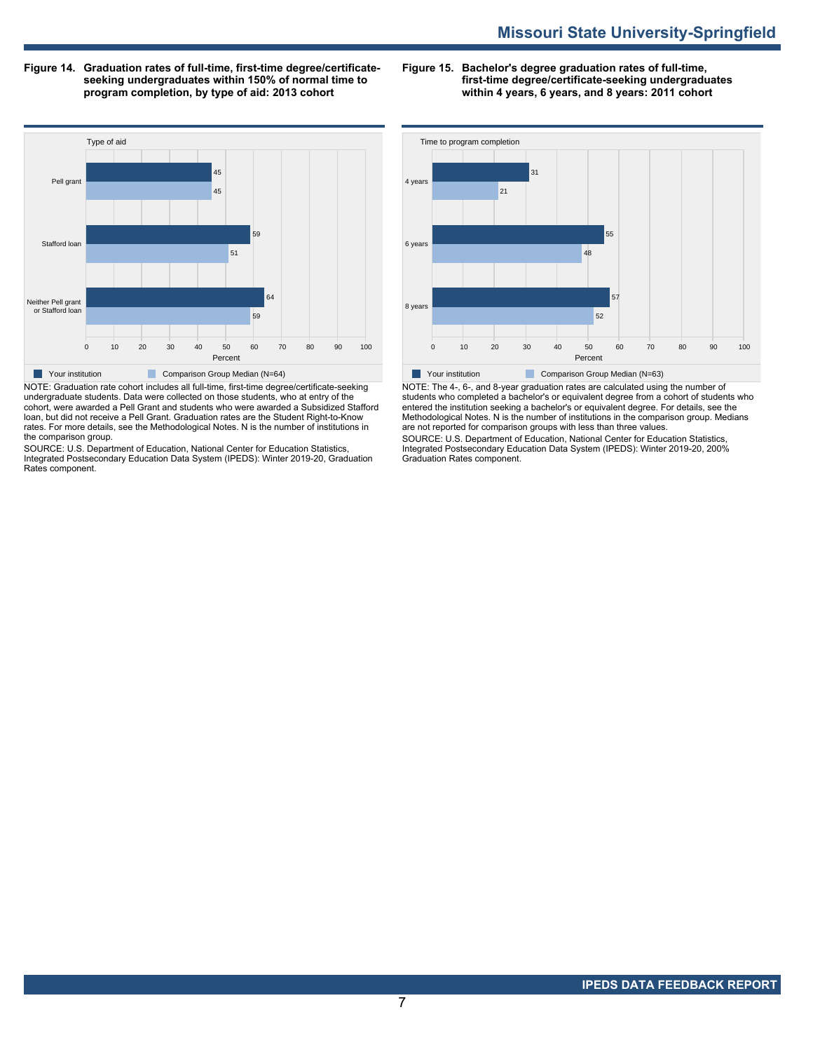**Figure 14. Graduation rates of full-time, first-time degree/certificateseeking undergraduates within 150% of normal time to program completion, by type of aid: 2013 cohort**

**Figure 15. Bachelor's degree graduation rates of full-time, first-time degree/certificate-seeking undergraduates within 4 years, 6 years, and 8 years: 2011 cohort**



undergraduate students. Data were collected on those students, who at entry of the cohort, were awarded a Pell Grant and students who were awarded a Subsidized Stafford loan, but did not receive a Pell Grant. Graduation rates are the Student Right-to-Know rates. For more details, see the Methodological Notes. N is the number of institutions in the comparison group.

SOURCE: U.S. Department of Education, National Center for Education Statistics, Integrated Postsecondary Education Data System (IPEDS): Winter 2019-20, Graduation Rates component.



NOTE: The 4-, 6-, and 8-year graduation rates are calculated using the number of students who completed a bachelor's or equivalent degree from a cohort of students who entered the institution seeking a bachelor's or equivalent degree. For details, see the Methodological Notes. N is the number of institutions in the comparison group. Medians are not reported for comparison groups with less than three values.

SOURCE: U.S. Department of Education, National Center for Education Statistics, Integrated Postsecondary Education Data System (IPEDS): Winter 2019-20, 200% Graduation Rates component.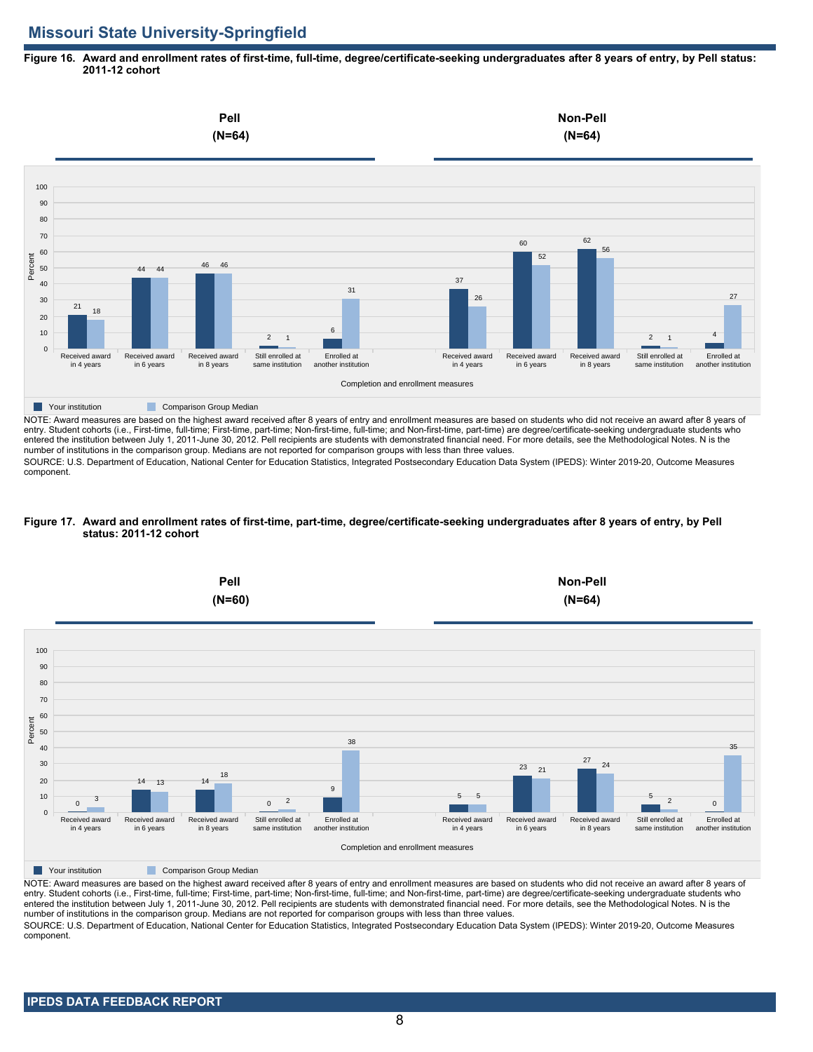# **Missouri State University-Springfield**

**Figure 16. Award and enrollment rates of first-time, full-time, degree/certificate-seeking undergraduates after 8 years of entry, by Pell status: 2011-12 cohort**



NOTE: Award measures are based on the highest award received after 8 years of entry and enrollment measures are based on students who did not receive an award after 8 years of entry. Student cohorts (i.e., First-time, full-time; First-time, part-time; Non-first-time, full-time; and Non-first-time, part-time) are degree/certificate-seeking undergraduate students who entered the institution between July 1, 2011-June 30, 2012. Pell recipients are students with demonstrated financial need. For more details, see the Methodological Notes. N is the number of institutions in the comparison group. Medians are not reported for comparison groups with less than three values.

SOURCE: U.S. Department of Education, National Center for Education Statistics, Integrated Postsecondary Education Data System (IPEDS): Winter 2019-20, Outcome Measures component.

#### **Figure 17. Award and enrollment rates of first-time, part-time, degree/certificate-seeking undergraduates after 8 years of entry, by Pell status: 2011-12 cohort**



NOTE: Award measures are based on the highest award received after 8 years of entry and enrollment measures are based on students who did not receive an award after 8 years of entry. Student cohorts (i.e., First-time, full-time; First-time, part-time; Non-first-time, full-time; and Non-first-time, part-time) are degree/certificate-seeking undergraduate students who entered the institution between July 1, 2011-June 30, 2012. Pell recipients are students with demonstrated financial need. For more details, see the Methodological Notes. N is the number of institutions in the comparison group. Medians are not reported for comparison groups with less than three values. SOURCE: U.S. Department of Education, National Center for Education Statistics, Integrated Postsecondary Education Data System (IPEDS): Winter 2019-20, Outcome Measures component.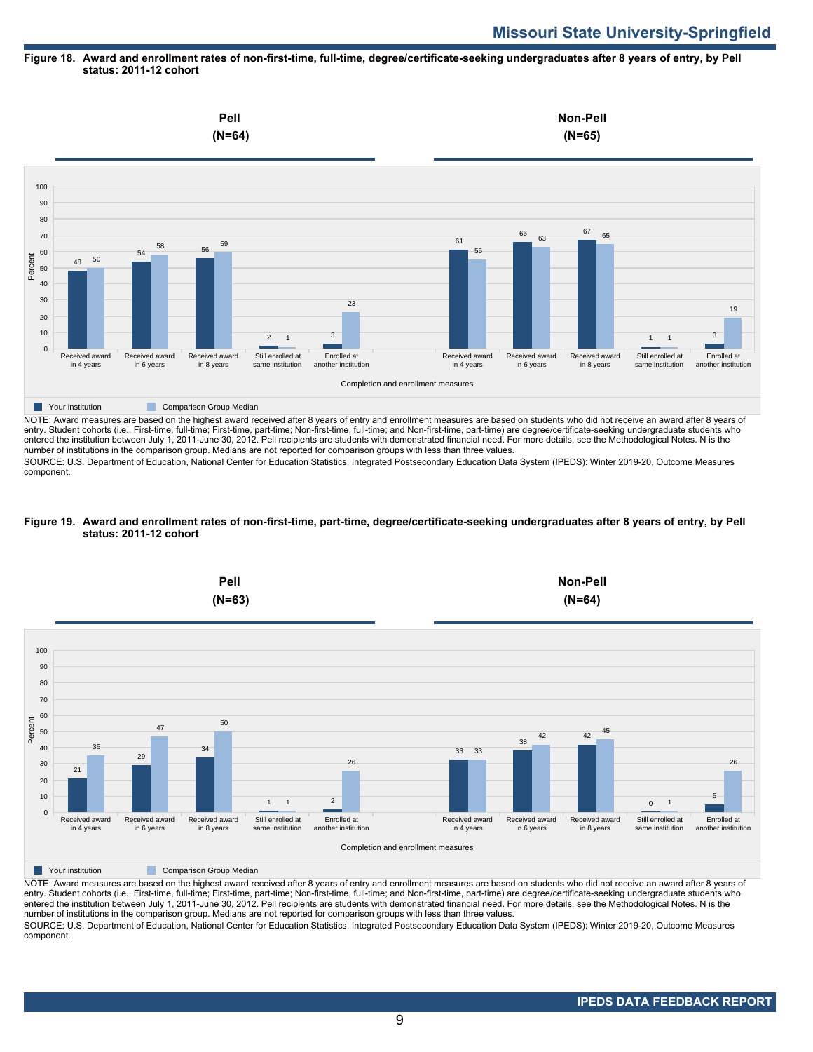# **Missouri State University-Springfield**

#### **Figure 18. Award and enrollment rates of non-first-time, full-time, degree/certificate-seeking undergraduates after 8 years of entry, by Pell status: 2011-12 cohort**



entry. Student cohorts (i.e., First-time, full-time; First-time, part-time; Non-first-time, full-time; and Non-first-time, part-time) are degree/certificate-seeking undergraduate students who entered the institution between July 1, 2011-June 30, 2012. Pell recipients are students with demonstrated financial need. For more details, see the Methodological Notes. N is the number of institutions in the comparison group. Medians are not reported for comparison groups with less than three values.

SOURCE: U.S. Department of Education, National Center for Education Statistics, Integrated Postsecondary Education Data System (IPEDS): Winter 2019-20, Outcome Measures component.

#### **Figure 19. Award and enrollment rates of non-first-time, part-time, degree/certificate-seeking undergraduates after 8 years of entry, by Pell status: 2011-12 cohort**



NOTE: Award measures are based on the highest award received after 8 years of entry and enrollment measures are based on students who did not receive an award after 8 years of entry. Student cohorts (i.e., First-time, full-time; First-time, part-time; Non-first-time, full-time; and Non-first-time, part-time) are degree/certificate-seeking undergraduate students who entered the institution between July 1, 2011-June 30, 2012. Pell recipients are students with demonstrated financial need. For more details, see the Methodological Notes. N is the number of institutions in the comparison group. Medians are not reported for comparison groups with less than three values. SOURCE: U.S. Department of Education, National Center for Education Statistics, Integrated Postsecondary Education Data System (IPEDS): Winter 2019-20, Outcome Measures component.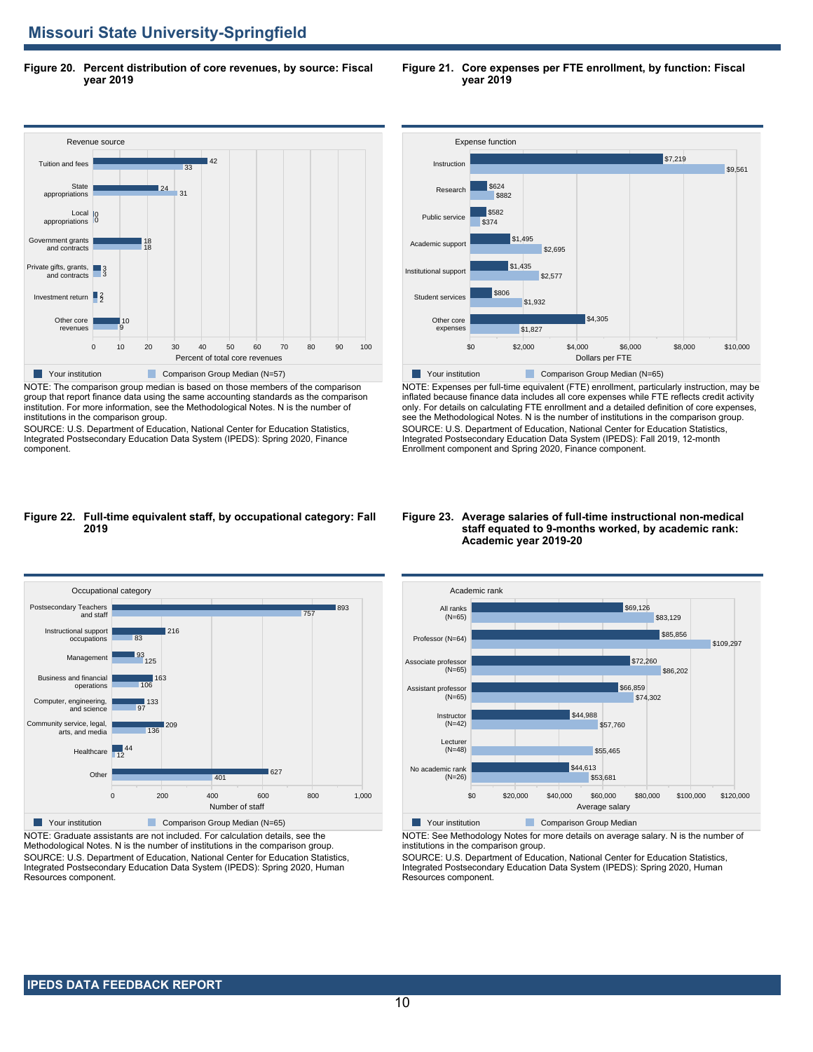**Figure 20. Percent distribution of core revenues, by source: Fiscal year 2019**



NOTE: The comparison group median is based on those members of the comparison group that report finance data using the same accounting standards as the comparison institution. For more information, see the Methodological Notes. N is the number of institutions in the comparison group.

SOURCE: U.S. Department of Education, National Center for Education Statistics, Integrated Postsecondary Education Data System (IPEDS): Spring 2020, Finance component.



**Figure 21. Core expenses per FTE enrollment, by function: Fiscal**



NOTE: Expenses per full-time equivalent (FTE) enrollment, particularly instruction, may be inflated because finance data includes all core expenses while FTE reflects credit activity only. For details on calculating FTE enrollment and a detailed definition of core expenses, see the Methodological Notes. N is the number of institutions in the comparison group. SOURCE: U.S. Department of Education, National Center for Education Statistics, Integrated Postsecondary Education Data System (IPEDS): Fall 2019, 12-month Enrollment component and Spring 2020, Finance component.

#### **Figure 22. Full-time equivalent staff, by occupational category: Fall 2019**



NOTE: Graduate assistants are not included. For calculation details, see the Methodological Notes. N is the number of institutions in the comparison group. SOURCE: U.S. Department of Education, National Center for Education Statistics, Integrated Postsecondary Education Data System (IPEDS): Spring 2020, Human Resources component.

#### **Figure 23. Average salaries of full-time instructional non-medical staff equated to 9-months worked, by academic rank: Academic year 2019-20**



NOTE: See Methodology Notes for more details on average salary. N is the number of institutions in the comparison group.

SOURCE: U.S. Department of Education, National Center for Education Statistics, Integrated Postsecondary Education Data System (IPEDS): Spring 2020, Human Resources component.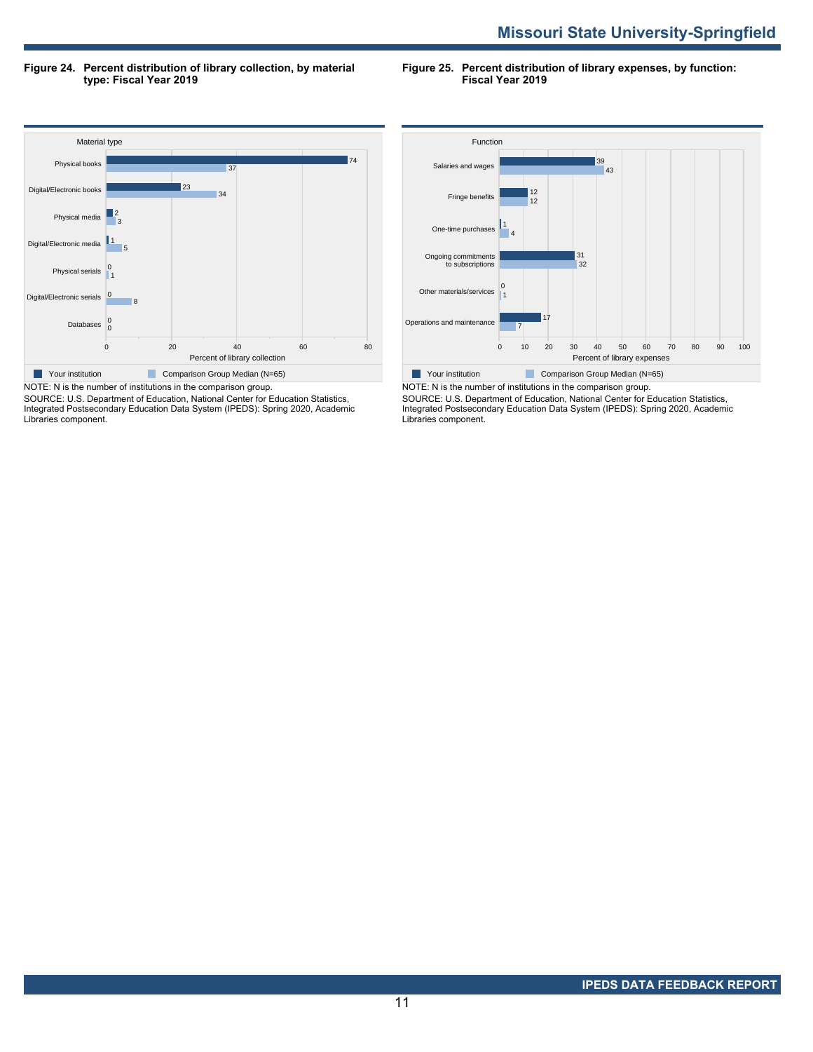**Figure 24. Percent distribution of library collection, by material type: Fiscal Year 2019**

**Figure 25. Percent distribution of library expenses, by function: Fiscal Year 2019**



SOURCE: U.S. Department of Education, National Center for Education Statistics, Integrated Postsecondary Education Data System (IPEDS): Spring 2020, Academic Libraries component.



NOTE: N is the number of institutions in the comparison group. SOURCE: U.S. Department of Education, National Center for Education Statistics, Integrated Postsecondary Education Data System (IPEDS): Spring 2020, Academic Libraries component.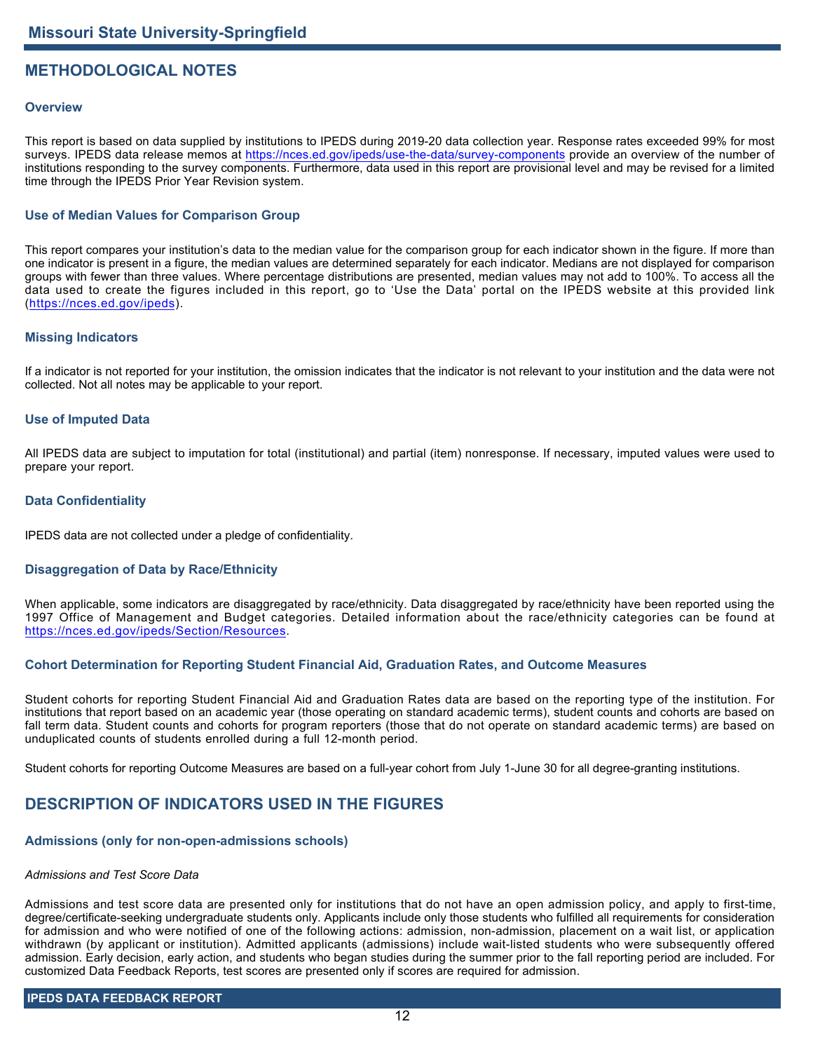## **METHODOLOGICAL NOTES**

## **Overview**

This report is based on data supplied by institutions to IPEDS during 2019-20 data collection year. Response rates exceeded 99% for most surveys. IPEDS data release memos at <https://nces.ed.gov/ipeds/use-the-data/survey-components> provide an overview of the number of institutions responding to the survey components. Furthermore, data used in this report are provisional level and may be revised for a limited time through the IPEDS Prior Year Revision system.

## **Use of Median Values for Comparison Group**

This report compares your institution's data to the median value for the comparison group for each indicator shown in the figure. If more than one indicator is present in a figure, the median values are determined separately for each indicator. Medians are not displayed for comparison groups with fewer than three values. Where percentage distributions are presented, median values may not add to 100%. To access all the data used to create the figures included in this report, go to 'Use the Data' portal on the IPEDS website at this provided link (<https://nces.ed.gov/ipeds>).

## **Missing Indicators**

If a indicator is not reported for your institution, the omission indicates that the indicator is not relevant to your institution and the data were not collected. Not all notes may be applicable to your report.

#### **Use of Imputed Data**

All IPEDS data are subject to imputation for total (institutional) and partial (item) nonresponse. If necessary, imputed values were used to prepare your report.

#### **Data Confidentiality**

IPEDS data are not collected under a pledge of confidentiality.

## **Disaggregation of Data by Race/Ethnicity**

When applicable, some indicators are disaggregated by race/ethnicity. Data disaggregated by race/ethnicity have been reported using the 1997 Office of Management and Budget categories. Detailed information about the race/ethnicity categories can be found at <https://nces.ed.gov/ipeds/Section/Resources>.

## **Cohort Determination for Reporting Student Financial Aid, Graduation Rates, and Outcome Measures**

Student cohorts for reporting Student Financial Aid and Graduation Rates data are based on the reporting type of the institution. For institutions that report based on an academic year (those operating on standard academic terms), student counts and cohorts are based on fall term data. Student counts and cohorts for program reporters (those that do not operate on standard academic terms) are based on unduplicated counts of students enrolled during a full 12-month period.

Student cohorts for reporting Outcome Measures are based on a full-year cohort from July 1-June 30 for all degree-granting institutions.

## **DESCRIPTION OF INDICATORS USED IN THE FIGURES**

## **Admissions (only for non-open-admissions schools)**

#### *Admissions and Test Score Data*

Admissions and test score data are presented only for institutions that do not have an open admission policy, and apply to first-time, degree/certificate-seeking undergraduate students only. Applicants include only those students who fulfilled all requirements for consideration for admission and who were notified of one of the following actions: admission, non-admission, placement on a wait list, or application withdrawn (by applicant or institution). Admitted applicants (admissions) include wait-listed students who were subsequently offered admission. Early decision, early action, and students who began studies during the summer prior to the fall reporting period are included. For customized Data Feedback Reports, test scores are presented only if scores are required for admission.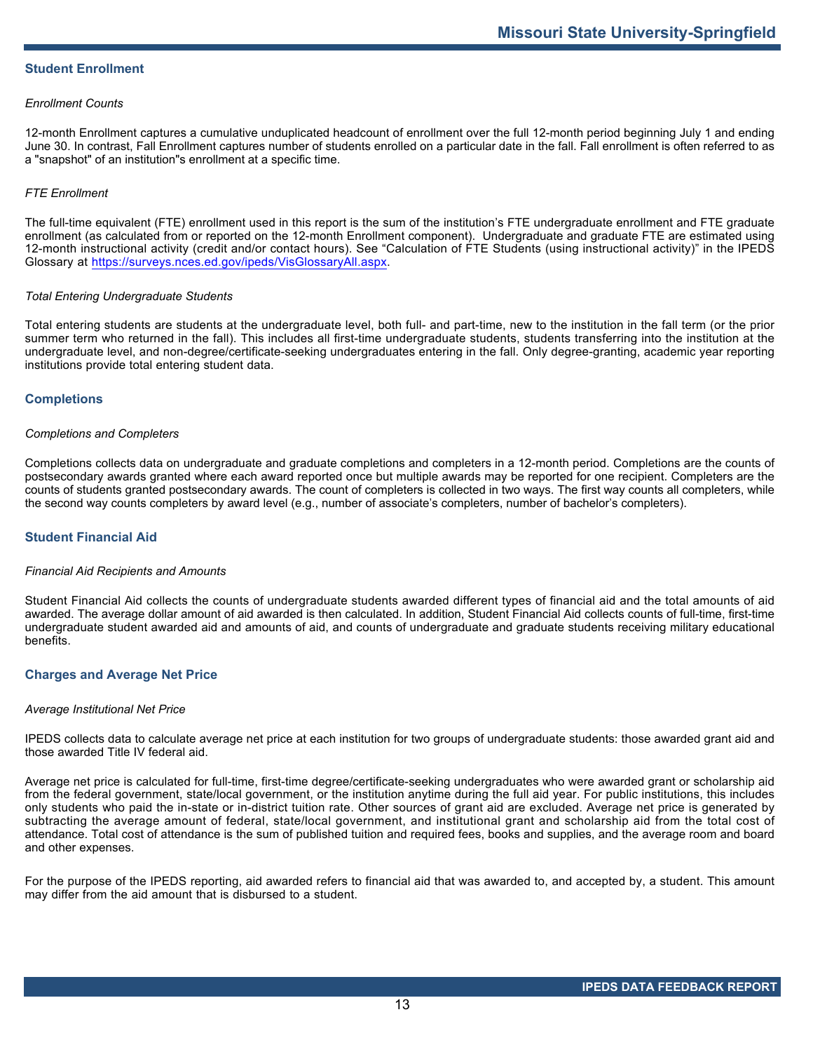## **Student Enrollment**

#### *Enrollment Counts*

12-month Enrollment captures a cumulative unduplicated headcount of enrollment over the full 12-month period beginning July 1 and ending June 30. In contrast, Fall Enrollment captures number of students enrolled on a particular date in the fall. Fall enrollment is often referred to as a "snapshot" of an institution"s enrollment at a specific time.

## *FTE Enrollment*

The full-time equivalent (FTE) enrollment used in this report is the sum of the institution's FTE undergraduate enrollment and FTE graduate enrollment (as calculated from or reported on the 12-month Enrollment component). Undergraduate and graduate FTE are estimated using 12-month instructional activity (credit and/or contact hours). See "Calculation of FTE Students (using instructional activity)" in the IPEDS Glossary at <https://surveys.nces.ed.gov/ipeds/VisGlossaryAll.aspx>.

#### *Total Entering Undergraduate Students*

Total entering students are students at the undergraduate level, both full- and part-time, new to the institution in the fall term (or the prior summer term who returned in the fall). This includes all first-time undergraduate students, students transferring into the institution at the undergraduate level, and non-degree/certificate-seeking undergraduates entering in the fall. Only degree-granting, academic year reporting institutions provide total entering student data.

## **Completions**

#### *Completions and Completers*

Completions collects data on undergraduate and graduate completions and completers in a 12-month period. Completions are the counts of postsecondary awards granted where each award reported once but multiple awards may be reported for one recipient. Completers are the counts of students granted postsecondary awards. The count of completers is collected in two ways. The first way counts all completers, while the second way counts completers by award level (e.g., number of associate's completers, number of bachelor's completers).

## **Student Financial Aid**

#### *Financial Aid Recipients and Amounts*

Student Financial Aid collects the counts of undergraduate students awarded different types of financial aid and the total amounts of aid awarded. The average dollar amount of aid awarded is then calculated. In addition, Student Financial Aid collects counts of full-time, first-time undergraduate student awarded aid and amounts of aid, and counts of undergraduate and graduate students receiving military educational benefits.

#### **Charges and Average Net Price**

#### *Average Institutional Net Price*

IPEDS collects data to calculate average net price at each institution for two groups of undergraduate students: those awarded grant aid and those awarded Title IV federal aid.

Average net price is calculated for full-time, first-time degree/certificate-seeking undergraduates who were awarded grant or scholarship aid from the federal government, state/local government, or the institution anytime during the full aid year. For public institutions, this includes only students who paid the in-state or in-district tuition rate. Other sources of grant aid are excluded. Average net price is generated by subtracting the average amount of federal, state/local government, and institutional grant and scholarship aid from the total cost of attendance. Total cost of attendance is the sum of published tuition and required fees, books and supplies, and the average room and board and other expenses.

For the purpose of the IPEDS reporting, aid awarded refers to financial aid that was awarded to, and accepted by, a student. This amount may differ from the aid amount that is disbursed to a student.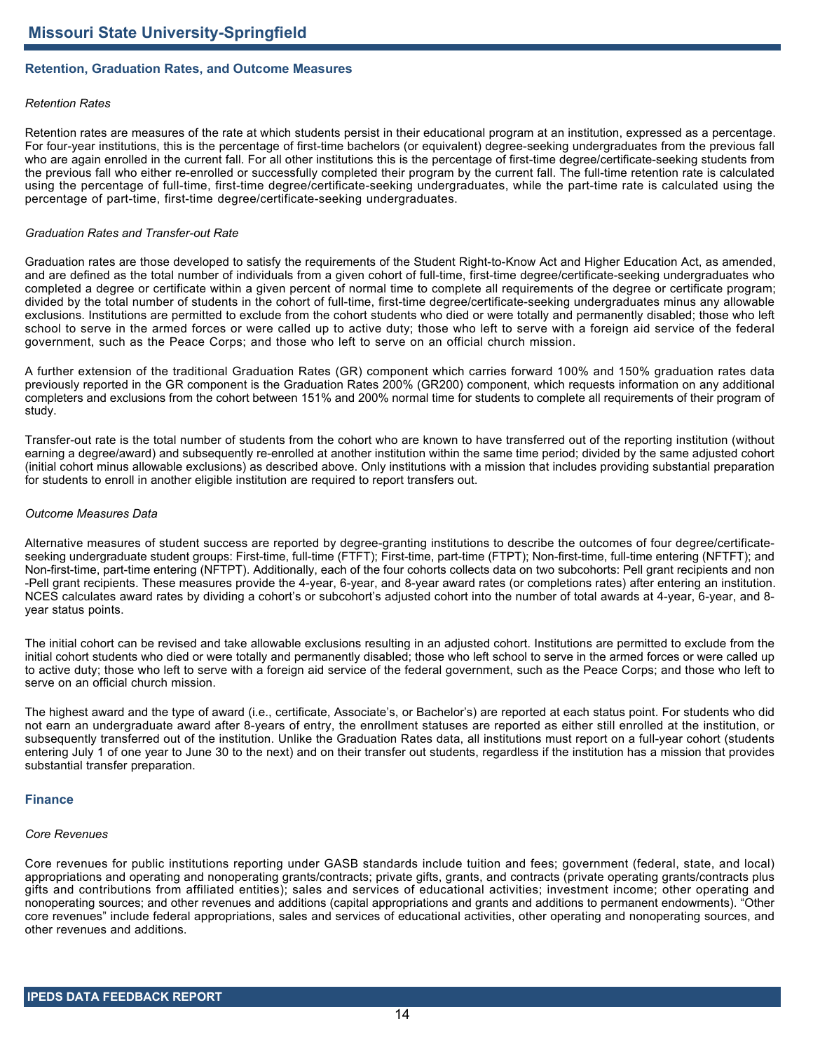## **Retention, Graduation Rates, and Outcome Measures**

#### *Retention Rates*

Retention rates are measures of the rate at which students persist in their educational program at an institution, expressed as a percentage. For four-year institutions, this is the percentage of first-time bachelors (or equivalent) degree-seeking undergraduates from the previous fall who are again enrolled in the current fall. For all other institutions this is the percentage of first-time degree/certificate-seeking students from the previous fall who either re-enrolled or successfully completed their program by the current fall. The full-time retention rate is calculated using the percentage of full-time, first-time degree/certificate-seeking undergraduates, while the part-time rate is calculated using the percentage of part-time, first-time degree/certificate-seeking undergraduates.

#### *Graduation Rates and Transfer-out Rate*

Graduation rates are those developed to satisfy the requirements of the Student Right-to-Know Act and Higher Education Act, as amended, and are defined as the total number of individuals from a given cohort of full-time, first-time degree/certificate-seeking undergraduates who completed a degree or certificate within a given percent of normal time to complete all requirements of the degree or certificate program; divided by the total number of students in the cohort of full-time, first-time degree/certificate-seeking undergraduates minus any allowable exclusions. Institutions are permitted to exclude from the cohort students who died or were totally and permanently disabled; those who left school to serve in the armed forces or were called up to active duty; those who left to serve with a foreign aid service of the federal government, such as the Peace Corps; and those who left to serve on an official church mission.

A further extension of the traditional Graduation Rates (GR) component which carries forward 100% and 150% graduation rates data previously reported in the GR component is the Graduation Rates 200% (GR200) component, which requests information on any additional completers and exclusions from the cohort between 151% and 200% normal time for students to complete all requirements of their program of study.

Transfer-out rate is the total number of students from the cohort who are known to have transferred out of the reporting institution (without earning a degree/award) and subsequently re-enrolled at another institution within the same time period; divided by the same adjusted cohort (initial cohort minus allowable exclusions) as described above. Only institutions with a mission that includes providing substantial preparation for students to enroll in another eligible institution are required to report transfers out.

#### *Outcome Measures Data*

Alternative measures of student success are reported by degree-granting institutions to describe the outcomes of four degree/certificateseeking undergraduate student groups: First-time, full-time (FTFT); First-time, part-time (FTPT); Non-first-time, full-time entering (NFTFT); and Non-first-time, part-time entering (NFTPT). Additionally, each of the four cohorts collects data on two subcohorts: Pell grant recipients and non -Pell grant recipients. These measures provide the 4-year, 6-year, and 8-year award rates (or completions rates) after entering an institution. NCES calculates award rates by dividing a cohort's or subcohort's adjusted cohort into the number of total awards at 4-year, 6-year, and 8 year status points.

The initial cohort can be revised and take allowable exclusions resulting in an adjusted cohort. Institutions are permitted to exclude from the initial cohort students who died or were totally and permanently disabled; those who left school to serve in the armed forces or were called up to active duty; those who left to serve with a foreign aid service of the federal government, such as the Peace Corps; and those who left to serve on an official church mission.

The highest award and the type of award (i.e., certificate, Associate's, or Bachelor's) are reported at each status point. For students who did not earn an undergraduate award after 8-years of entry, the enrollment statuses are reported as either still enrolled at the institution, or subsequently transferred out of the institution. Unlike the Graduation Rates data, all institutions must report on a full-year cohort (students entering July 1 of one year to June 30 to the next) and on their transfer out students, regardless if the institution has a mission that provides substantial transfer preparation.

#### **Finance**

#### *Core Revenues*

Core revenues for public institutions reporting under GASB standards include tuition and fees; government (federal, state, and local) appropriations and operating and nonoperating grants/contracts; private gifts, grants, and contracts (private operating grants/contracts plus gifts and contributions from affiliated entities); sales and services of educational activities; investment income; other operating and nonoperating sources; and other revenues and additions (capital appropriations and grants and additions to permanent endowments). "Other core revenues" include federal appropriations, sales and services of educational activities, other operating and nonoperating sources, and other revenues and additions.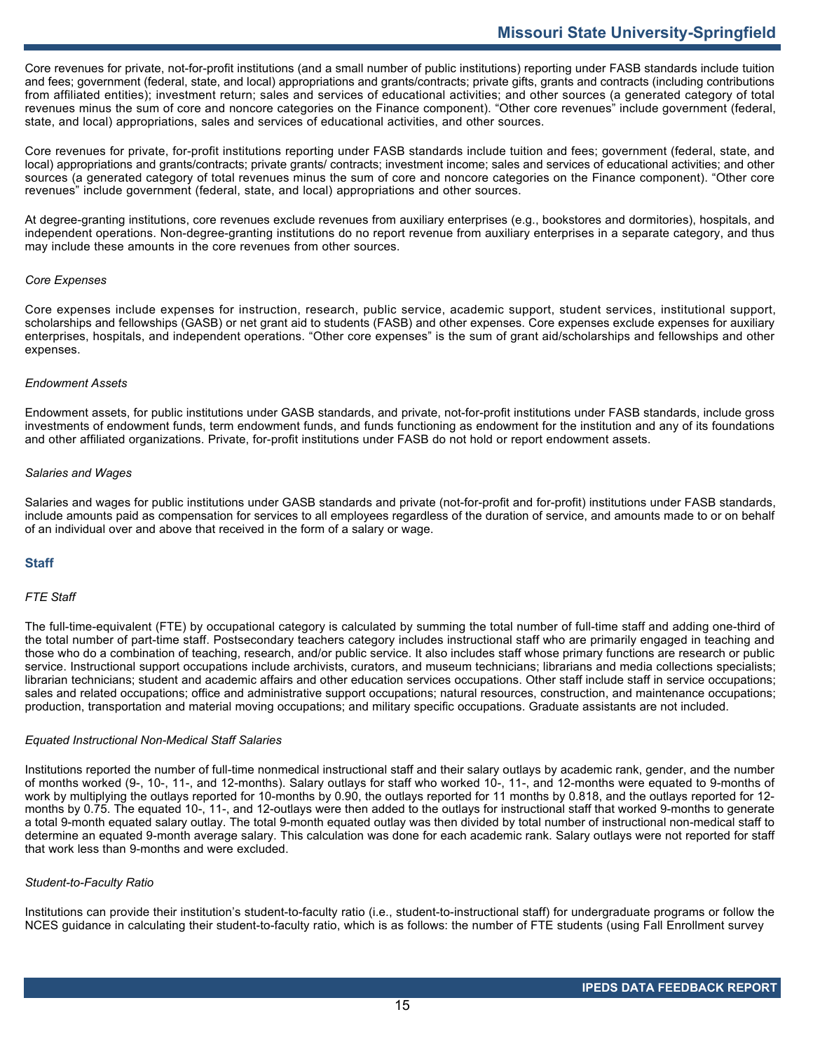Core revenues for private, not-for-profit institutions (and a small number of public institutions) reporting under FASB standards include tuition and fees; government (federal, state, and local) appropriations and grants/contracts; private gifts, grants and contracts (including contributions from affiliated entities); investment return; sales and services of educational activities; and other sources (a generated category of total revenues minus the sum of core and noncore categories on the Finance component). "Other core revenues" include government (federal, state, and local) appropriations, sales and services of educational activities, and other sources.

Core revenues for private, for-profit institutions reporting under FASB standards include tuition and fees; government (federal, state, and local) appropriations and grants/contracts; private grants/ contracts; investment income; sales and services of educational activities; and other sources (a generated category of total revenues minus the sum of core and noncore categories on the Finance component). "Other core revenues" include government (federal, state, and local) appropriations and other sources.

At degree-granting institutions, core revenues exclude revenues from auxiliary enterprises (e.g., bookstores and dormitories), hospitals, and independent operations. Non-degree-granting institutions do no report revenue from auxiliary enterprises in a separate category, and thus may include these amounts in the core revenues from other sources.

## *Core Expenses*

Core expenses include expenses for instruction, research, public service, academic support, student services, institutional support, scholarships and fellowships (GASB) or net grant aid to students (FASB) and other expenses. Core expenses exclude expenses for auxiliary enterprises, hospitals, and independent operations. "Other core expenses" is the sum of grant aid/scholarships and fellowships and other expenses.

#### *Endowment Assets*

Endowment assets, for public institutions under GASB standards, and private, not-for-profit institutions under FASB standards, include gross investments of endowment funds, term endowment funds, and funds functioning as endowment for the institution and any of its foundations and other affiliated organizations. Private, for-profit institutions under FASB do not hold or report endowment assets.

## *Salaries and Wages*

Salaries and wages for public institutions under GASB standards and private (not-for-profit and for-profit) institutions under FASB standards, include amounts paid as compensation for services to all employees regardless of the duration of service, and amounts made to or on behalf of an individual over and above that received in the form of a salary or wage.

## **Staff**

#### *FTE Staff*

The full-time-equivalent (FTE) by occupational category is calculated by summing the total number of full-time staff and adding one-third of the total number of part-time staff. Postsecondary teachers category includes instructional staff who are primarily engaged in teaching and those who do a combination of teaching, research, and/or public service. It also includes staff whose primary functions are research or public service. Instructional support occupations include archivists, curators, and museum technicians; librarians and media collections specialists; librarian technicians; student and academic affairs and other education services occupations. Other staff include staff in service occupations; sales and related occupations; office and administrative support occupations; natural resources, construction, and maintenance occupations; production, transportation and material moving occupations; and military specific occupations. Graduate assistants are not included.

#### *Equated Instructional Non-Medical Staff Salaries*

Institutions reported the number of full-time nonmedical instructional staff and their salary outlays by academic rank, gender, and the number of months worked (9-, 10-, 11-, and 12-months). Salary outlays for staff who worked 10-, 11-, and 12-months were equated to 9-months of work by multiplying the outlays reported for 10-months by 0.90, the outlays reported for 11 months by 0.818, and the outlays reported for 12 months by 0.75. The equated 10-, 11-, and 12-outlays were then added to the outlays for instructional staff that worked 9-months to generate a total 9-month equated salary outlay. The total 9-month equated outlay was then divided by total number of instructional non-medical staff to determine an equated 9-month average salary. This calculation was done for each academic rank. Salary outlays were not reported for staff that work less than 9-months and were excluded.

#### *Student-to-Faculty Ratio*

Institutions can provide their institution's student-to-faculty ratio (i.e., student-to-instructional staff) for undergraduate programs or follow the NCES guidance in calculating their student-to-faculty ratio, which is as follows: the number of FTE students (using Fall Enrollment survey